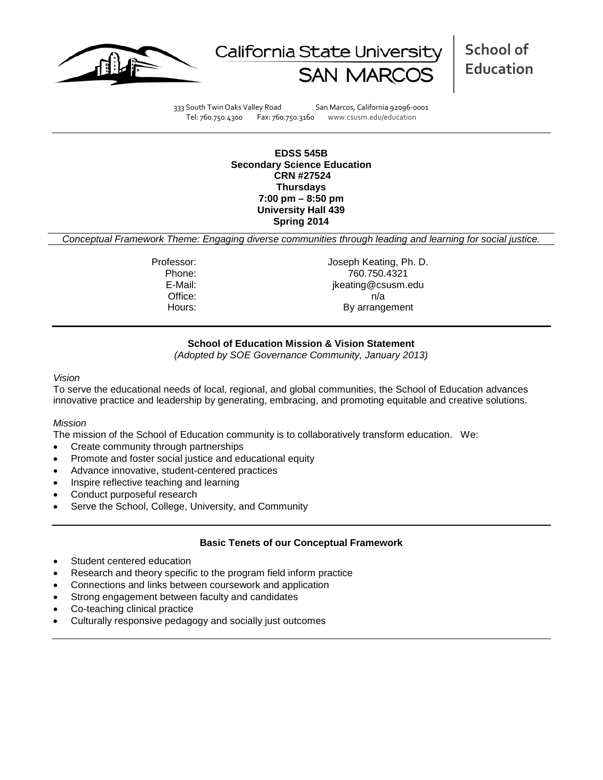



333 South Twin Oaks Valley Road San Marcos, California 92096-0001 Tel: 760.750.4300 Fax: 760.750.3160 www.csusm.edu/education

**EDSS 545B Secondary Science Education CRN #27524 Thursdays 7:00 pm – 8:50 pm University Hall 439 Spring 2014**

*Conceptual Framework Theme: Engaging diverse communities through leading and learning for social justice.*

Professor: Joseph Keating, Ph. D. Phone: 760.750.4321<br>E-Mail: 760.750.4321 jkeating@csusm.edu Office: n/a Hours: By arrangement

# **School of Education Mission & Vision Statement**

*(Adopted by SOE Governance Community, January 2013)*

#### *Vision*

To serve the educational needs of local, regional, and global communities, the School of Education advances innovative practice and leadership by generating, embracing, and promoting equitable and creative solutions.

#### *Mission*

The mission of the School of Education community is to collaboratively transform education. We:

- Create community through partnerships
- Promote and foster social justice and educational equity
- Advance innovative, student-centered practices
- Inspire reflective teaching and learning
- Conduct purposeful research
- Serve the School, College, University, and Community

#### **Basic Tenets of our Conceptual Framework**

- Student centered education
- Research and theory specific to the program field inform practice
- Connections and links between coursework and application
- Strong engagement between faculty and candidates
- Co-teaching clinical practice
- Culturally responsive pedagogy and socially just outcomes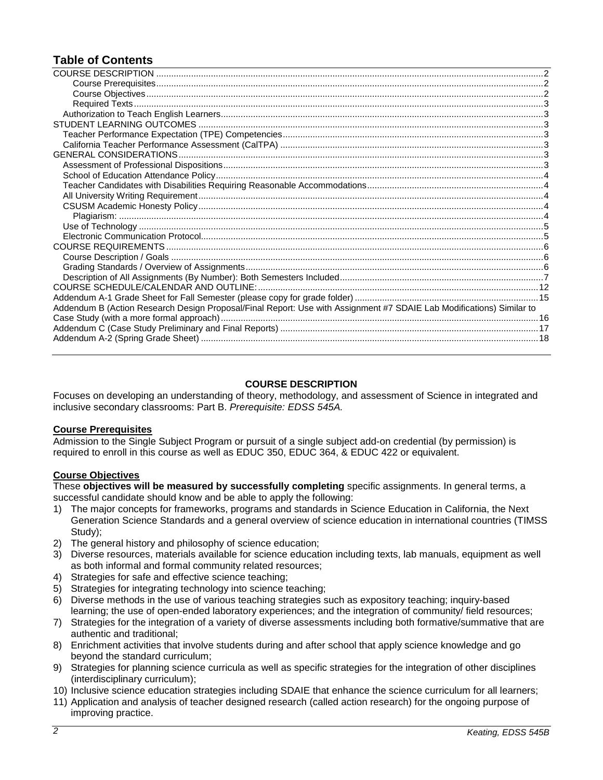# **Table of Contents**

| Addendum B (Action Research Design Proposal/Final Report: Use with Assignment #7 SDAIE Lab Modifications) Similar to |  |
|----------------------------------------------------------------------------------------------------------------------|--|
|                                                                                                                      |  |
|                                                                                                                      |  |
|                                                                                                                      |  |
|                                                                                                                      |  |

### **COURSE DESCRIPTION**

<span id="page-1-0"></span>Focuses on developing an understanding of theory, methodology, and assessment of Science in integrated and inclusive secondary classrooms: Part B. *Prerequisite: EDSS 545A.*

#### <span id="page-1-1"></span>**Course Prerequisites**

Admission to the Single Subject Program or pursuit of a single subject add-on credential (by permission) is required to enroll in this course as well as EDUC 350, EDUC 364, & EDUC 422 or equivalent.

#### <span id="page-1-2"></span>**Course Objectives**

These **objectives will be measured by successfully completing** specific assignments. In general terms, a successful candidate should know and be able to apply the following:

- 1) The major concepts for frameworks, programs and standards in Science Education in California, the Next Generation Science Standards and a general overview of science education in international countries (TIMSS Study);
- 2) The general history and philosophy of science education;
- 3) Diverse resources, materials available for science education including texts, lab manuals, equipment as well as both informal and formal community related resources;
- 4) Strategies for safe and effective science teaching;
- 5) Strategies for integrating technology into science teaching;
- 6) Diverse methods in the use of various teaching strategies such as expository teaching; inquiry-based learning; the use of open-ended laboratory experiences; and the integration of community/ field resources;
- 7) Strategies for the integration of a variety of diverse assessments including both formative/summative that are authentic and traditional;
- 8) Enrichment activities that involve students during and after school that apply science knowledge and go beyond the standard curriculum;
- 9) Strategies for planning science curricula as well as specific strategies for the integration of other disciplines (interdisciplinary curriculum);
- 10) Inclusive science education strategies including SDAIE that enhance the science curriculum for all learners;
- <span id="page-1-3"></span>11) Application and analysis of teacher designed research (called action research) for the ongoing purpose of improving practice.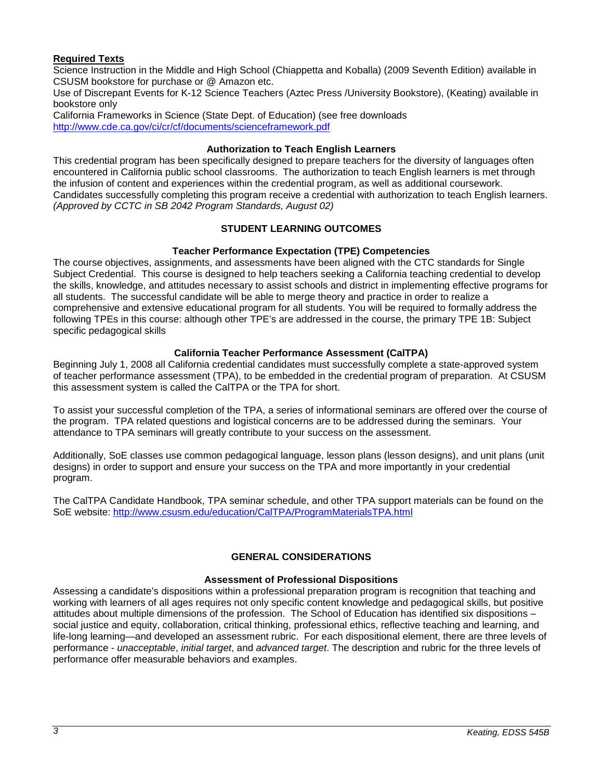# **Required Texts**

Science Instruction in the Middle and High School (Chiappetta and Koballa) (2009 Seventh Edition) available in CSUSM bookstore for purchase or @ Amazon etc.

Use of Discrepant Events for K-12 Science Teachers (Aztec Press /University Bookstore), (Keating) available in bookstore only

California Frameworks in Science (State Dept. of Education) (see free downloads <http://www.cde.ca.gov/ci/cr/cf/documents/scienceframework.pdf>

### **Authorization to Teach English Learners**

<span id="page-2-0"></span>This credential program has been specifically designed to prepare teachers for the diversity of languages often encountered in California public school classrooms. The authorization to teach English learners is met through the infusion of content and experiences within the credential program, as well as additional coursework. Candidates successfully completing this program receive a credential with authorization to teach English learners. *(Approved by CCTC in SB 2042 Program Standards, August 02)*

### **STUDENT LEARNING OUTCOMES**

### **Teacher Performance Expectation (TPE) Competencies**

<span id="page-2-2"></span><span id="page-2-1"></span>The course objectives, assignments, and assessments have been aligned with the CTC standards for Single Subject Credential. This course is designed to help teachers seeking a California teaching credential to develop the skills, knowledge, and attitudes necessary to assist schools and district in implementing effective programs for all students. The successful candidate will be able to merge theory and practice in order to realize a comprehensive and extensive educational program for all students. You will be required to formally address the following TPEs in this course: although other TPE's are addressed in the course, the primary TPE 1B: Subject specific pedagogical skills

#### **California Teacher Performance Assessment (CalTPA)**

<span id="page-2-3"></span>Beginning July 1, 2008 all California credential candidates must successfully complete a state-approved system of teacher performance assessment (TPA), to be embedded in the credential program of preparation. At CSUSM this assessment system is called the CalTPA or the TPA for short.

To assist your successful completion of the TPA, a series of informational seminars are offered over the course of the program. TPA related questions and logistical concerns are to be addressed during the seminars. Your attendance to TPA seminars will greatly contribute to your success on the assessment.

Additionally, SoE classes use common pedagogical language, lesson plans (lesson designs), and unit plans (unit designs) in order to support and ensure your success on the TPA and more importantly in your credential program.

The CalTPA Candidate Handbook, TPA seminar schedule, and other TPA support materials can be found on the SoE website: <http://www.csusm.edu/education/CalTPA/ProgramMaterialsTPA.html>

# **GENERAL CONSIDERATIONS**

#### **Assessment of Professional Dispositions**

<span id="page-2-5"></span><span id="page-2-4"></span>Assessing a candidate's dispositions within a professional preparation program is recognition that teaching and working with learners of all ages requires not only specific content knowledge and pedagogical skills, but positive attitudes about multiple dimensions of the profession. The School of Education has identified six dispositions – social justice and equity, collaboration, critical thinking, professional ethics, reflective teaching and learning, and life-long learning—and developed an assessment rubric. For each dispositional element, there are three levels of performance - *unacceptable*, *initial target*, and *advanced target*. The description and rubric for the three levels of performance offer measurable behaviors and examples.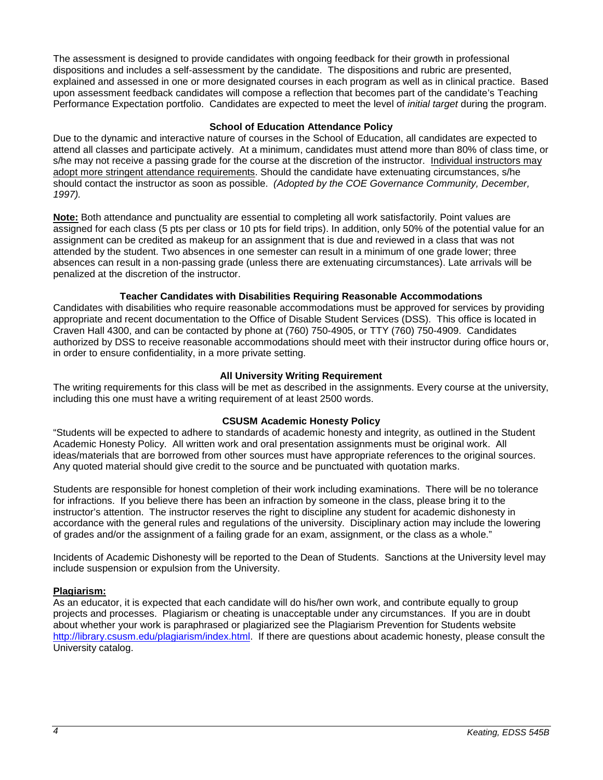The assessment is designed to provide candidates with ongoing feedback for their growth in professional dispositions and includes a self-assessment by the candidate. The dispositions and rubric are presented, explained and assessed in one or more designated courses in each program as well as in clinical practice. Based upon assessment feedback candidates will compose a reflection that becomes part of the candidate's Teaching Performance Expectation portfolio. Candidates are expected to meet the level of *initial target* during the program.

### **School of Education Attendance Policy**

<span id="page-3-0"></span>Due to the dynamic and interactive nature of courses in the School of Education, all candidates are expected to attend all classes and participate actively. At a minimum, candidates must attend more than 80% of class time, or s/he may not receive a passing grade for the course at the discretion of the instructor. Individual instructors may adopt more stringent attendance requirements. Should the candidate have extenuating circumstances, s/he should contact the instructor as soon as possible. *(Adopted by the COE Governance Community, December, 1997).*

**Note:** Both attendance and punctuality are essential to completing all work satisfactorily. Point values are assigned for each class (5 pts per class or 10 pts for field trips). In addition, only 50% of the potential value for an assignment can be credited as makeup for an assignment that is due and reviewed in a class that was not attended by the student. Two absences in one semester can result in a minimum of one grade lower; three absences can result in a non-passing grade (unless there are extenuating circumstances). Late arrivals will be penalized at the discretion of the instructor.

### **Teacher Candidates with Disabilities Requiring Reasonable Accommodations**

<span id="page-3-1"></span>Candidates with disabilities who require reasonable accommodations must be approved for services by providing appropriate and recent documentation to the Office of Disable Student Services (DSS). This office is located in Craven Hall 4300, and can be contacted by phone at (760) 750-4905, or TTY (760) 750-4909. Candidates authorized by DSS to receive reasonable accommodations should meet with their instructor during office hours or, in order to ensure confidentiality, in a more private setting.

### **All University Writing Requirement**

<span id="page-3-2"></span>The writing requirements for this class will be met as described in the assignments. Every course at the university, including this one must have a writing requirement of at least 2500 words.

#### **CSUSM Academic Honesty Policy**

<span id="page-3-3"></span>"Students will be expected to adhere to standards of academic honesty and integrity, as outlined in the Student Academic Honesty Policy. All written work and oral presentation assignments must be original work. All ideas/materials that are borrowed from other sources must have appropriate references to the original sources. Any quoted material should give credit to the source and be punctuated with quotation marks.

Students are responsible for honest completion of their work including examinations. There will be no tolerance for infractions. If you believe there has been an infraction by someone in the class, please bring it to the instructor's attention. The instructor reserves the right to discipline any student for academic dishonesty in accordance with the general rules and regulations of the university. Disciplinary action may include the lowering of grades and/or the assignment of a failing grade for an exam, assignment, or the class as a whole."

Incidents of Academic Dishonesty will be reported to the Dean of Students. Sanctions at the University level may include suspension or expulsion from the University.

#### <span id="page-3-4"></span>**Plagiarism:**

<span id="page-3-5"></span>As an educator, it is expected that each candidate will do his/her own work, and contribute equally to group projects and processes. Plagiarism or cheating is unacceptable under any circumstances. If you are in doubt about whether your work is paraphrased or plagiarized see the Plagiarism Prevention for Students website [http://library.csusm.edu/plagiarism/index.html.](http://library.csusm.edu/plagiarism/index.html) If there are questions about academic honesty, please consult the University catalog.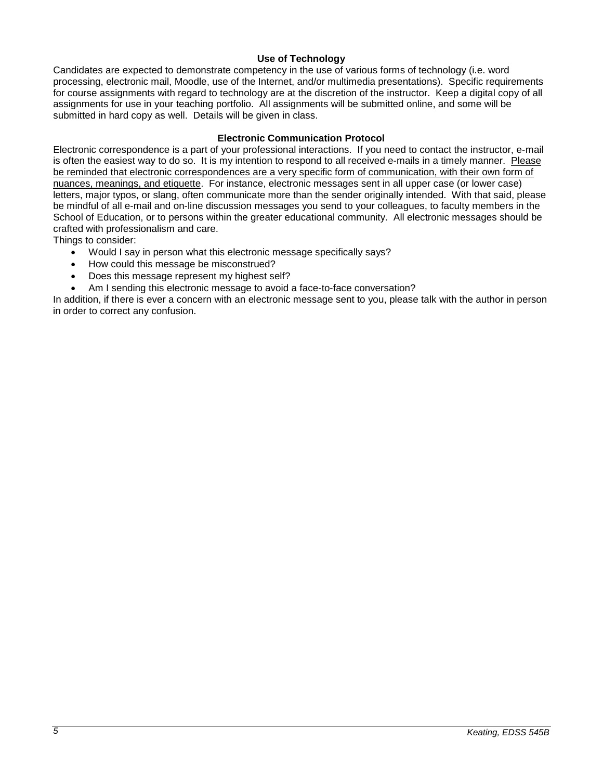# **Use of Technology**

Candidates are expected to demonstrate competency in the use of various forms of technology (i.e. word processing, electronic mail, Moodle, use of the Internet, and/or multimedia presentations). Specific requirements for course assignments with regard to technology are at the discretion of the instructor. Keep a digital copy of all assignments for use in your teaching portfolio. All assignments will be submitted online, and some will be submitted in hard copy as well. Details will be given in class.

#### **Electronic Communication Protocol**

<span id="page-4-0"></span>Electronic correspondence is a part of your professional interactions. If you need to contact the instructor, e-mail is often the easiest way to do so. It is my intention to respond to all received e-mails in a timely manner. Please be reminded that electronic correspondences are a very specific form of communication, with their own form of nuances, meanings, and etiquette. For instance, electronic messages sent in all upper case (or lower case) letters, major typos, or slang, often communicate more than the sender originally intended. With that said, please be mindful of all e-mail and on-line discussion messages you send to your colleagues, to faculty members in the School of Education, or to persons within the greater educational community. All electronic messages should be crafted with professionalism and care.

Things to consider:

- Would I say in person what this electronic message specifically says?
- How could this message be misconstrued?
- Does this message represent my highest self?
- Am I sending this electronic message to avoid a face-to-face conversation?

<span id="page-4-1"></span>In addition, if there is ever a concern with an electronic message sent to you, please talk with the author in person in order to correct any confusion.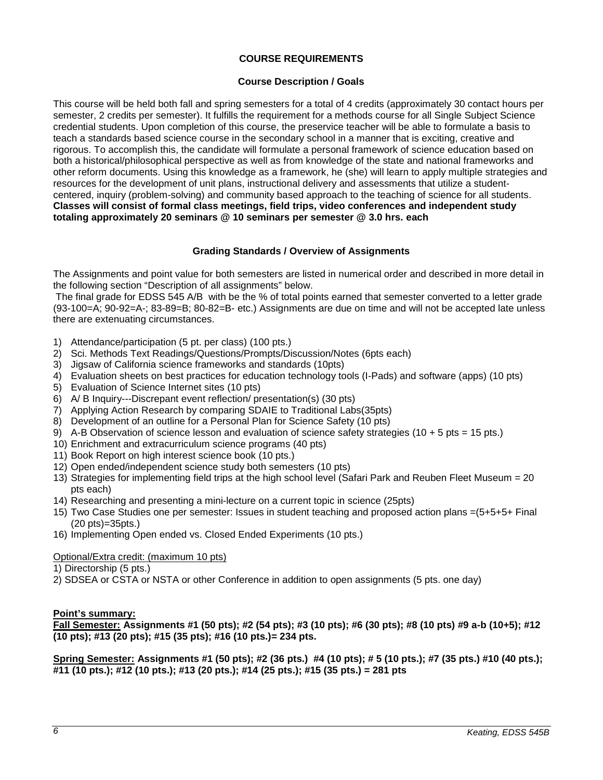# **COURSE REQUIREMENTS**

#### **Course Description / Goals**

<span id="page-5-0"></span>This course will be held both fall and spring semesters for a total of 4 credits (approximately 30 contact hours per semester, 2 credits per semester). It fulfills the requirement for a methods course for all Single Subject Science credential students. Upon completion of this course, the preservice teacher will be able to formulate a basis to teach a standards based science course in the secondary school in a manner that is exciting, creative and rigorous. To accomplish this, the candidate will formulate a personal framework of science education based on both a historical/philosophical perspective as well as from knowledge of the state and national frameworks and other reform documents. Using this knowledge as a framework, he (she) will learn to apply multiple strategies and resources for the development of unit plans, instructional delivery and assessments that utilize a studentcentered, inquiry (problem-solving) and community based approach to the teaching of science for all students. **Classes will consist of formal class meetings, field trips, video conferences and independent study totaling approximately 20 seminars @ 10 seminars per semester @ 3.0 hrs. each** 

### **Grading Standards / Overview of Assignments**

<span id="page-5-1"></span>The Assignments and point value for both semesters are listed in numerical order and described in more detail in the following section "Description of all assignments" below.

The final grade for EDSS 545 A/B with be the % of total points earned that semester converted to a letter grade (93-100=A; 90-92=A-; 83-89=B; 80-82=B- etc.) Assignments are due on time and will not be accepted late unless there are extenuating circumstances.

- 1) Attendance/participation (5 pt. per class) (100 pts.)
- 2) Sci. Methods Text Readings/Questions/Prompts/Discussion/Notes (6pts each)
- 3) Jigsaw of California science frameworks and standards (10pts)
- 4) Evaluation sheets on best practices for education technology tools (I-Pads) and software (apps) (10 pts)
- 5) Evaluation of Science Internet sites (10 pts)
- 6) A/ B Inquiry---Discrepant event reflection/ presentation(s) (30 pts)
- 7) Applying Action Research by comparing SDAIE to Traditional Labs(35pts)
- 8) Development of an outline for a Personal Plan for Science Safety (10 pts)
- 9) A-B Observation of science lesson and evaluation of science safety strategies (10 + 5 pts = 15 pts.)
- 10) Enrichment and extracurriculum science programs (40 pts)
- 11) Book Report on high interest science book (10 pts.)
- 12) Open ended/independent science study both semesters (10 pts)
- 13) Strategies for implementing field trips at the high school level (Safari Park and Reuben Fleet Museum = 20 pts each)
- 14) Researching and presenting a mini-lecture on a current topic in science (25pts)
- 15) Two Case Studies one per semester: Issues in student teaching and proposed action plans =(5+5+5+ Final (20 pts)=35pts.)
- 16) Implementing Open ended vs. Closed Ended Experiments (10 pts.)

#### Optional/Extra credit: (maximum 10 pts)

- 1) Directorship (5 pts.)
- 2) SDSEA or CSTA or NSTA or other Conference in addition to open assignments (5 pts. one day)

#### **Point's summary:**

**Fall Semester: Assignments #1 (50 pts); #2 (54 pts); #3 (10 pts); #6 (30 pts); #8 (10 pts) #9 a-b (10+5); #12 (10 pts); #13 (20 pts); #15 (35 pts); #16 (10 pts.)= 234 pts.**

**Spring Semester: Assignments #1 (50 pts); #2 (36 pts.) #4 (10 pts); # 5 (10 pts.); #7 (35 pts.) #10 (40 pts.); #11 (10 pts.); #12 (10 pts.); #13 (20 pts.); #14 (25 pts.); #15 (35 pts.) = 281 pts**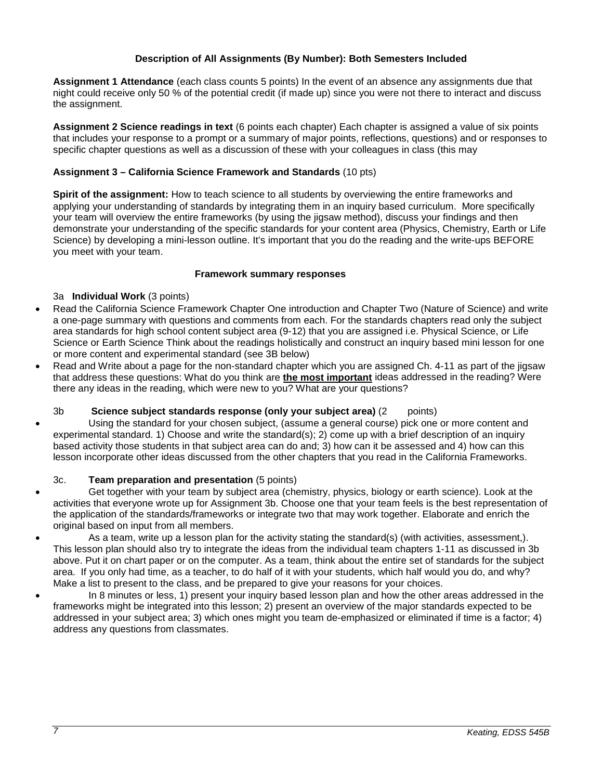# **Description of All Assignments (By Number): Both Semesters Included**

<span id="page-6-0"></span>**Assignment 1 Attendance** (each class counts 5 points) In the event of an absence any assignments due that night could receive only 50 % of the potential credit (if made up) since you were not there to interact and discuss the assignment.

**Assignment 2 Science readings in text** (6 points each chapter) Each chapter is assigned a value of six points that includes your response to a prompt or a summary of major points, reflections, questions) and or responses to specific chapter questions as well as a discussion of these with your colleagues in class (this may

# **Assignment 3 – California Science Framework and Standards** (10 pts)

**Spirit of the assignment:** How to teach science to all students by overviewing the entire frameworks and applying your understanding of standards by integrating them in an inquiry based curriculum. More specifically your team will overview the entire frameworks (by using the jigsaw method), discuss your findings and then demonstrate your understanding of the specific standards for your content area (Physics, Chemistry, Earth or Life Science) by developing a mini-lesson outline. It's important that you do the reading and the write-ups BEFORE you meet with your team.

# **Framework summary responses**

# 3a **Individual Work** (3 points)

- Read the California Science Framework Chapter One introduction and Chapter Two (Nature of Science) and write a one-page summary with questions and comments from each. For the standards chapters read only the subject area standards for high school content subject area (9-12) that you are assigned i.e. Physical Science, or Life Science or Earth Science Think about the readings holistically and construct an inquiry based mini lesson for one or more content and experimental standard (see 3B below)
- Read and Write about a page for the non-standard chapter which you are assigned Ch. 4-11 as part of the jigsaw that address these questions: What do you think are **the most important** ideas addressed in the reading? Were there any ideas in the reading, which were new to you? What are your questions?

# 3b **Science subject standards response (only your subject area)** (2 points)

• Using the standard for your chosen subject, (assume a general course) pick one or more content and experimental standard. 1) Choose and write the standard(s); 2) come up with a brief description of an inquiry based activity those students in that subject area can do and; 3) how can it be assessed and 4) how can this lesson incorporate other ideas discussed from the other chapters that you read in the California Frameworks.

# 3c. **Team preparation and presentation** (5 points)

- Get together with your team by subject area (chemistry, physics, biology or earth science). Look at the activities that everyone wrote up for Assignment 3b. Choose one that your team feels is the best representation of the application of the standards/frameworks or integrate two that may work together. Elaborate and enrich the original based on input from all members.
- As a team, write up a lesson plan for the activity stating the standard(s) (with activities, assessment,). This lesson plan should also try to integrate the ideas from the individual team chapters 1-11 as discussed in 3b above. Put it on chart paper or on the computer. As a team, think about the entire set of standards for the subject area. If you only had time, as a teacher, to do half of it with your students, which half would you do, and why? Make a list to present to the class, and be prepared to give your reasons for your choices.
- In 8 minutes or less, 1) present your inquiry based lesson plan and how the other areas addressed in the frameworks might be integrated into this lesson; 2) present an overview of the major standards expected to be addressed in your subject area; 3) which ones might you team de-emphasized or eliminated if time is a factor; 4) address any questions from classmates.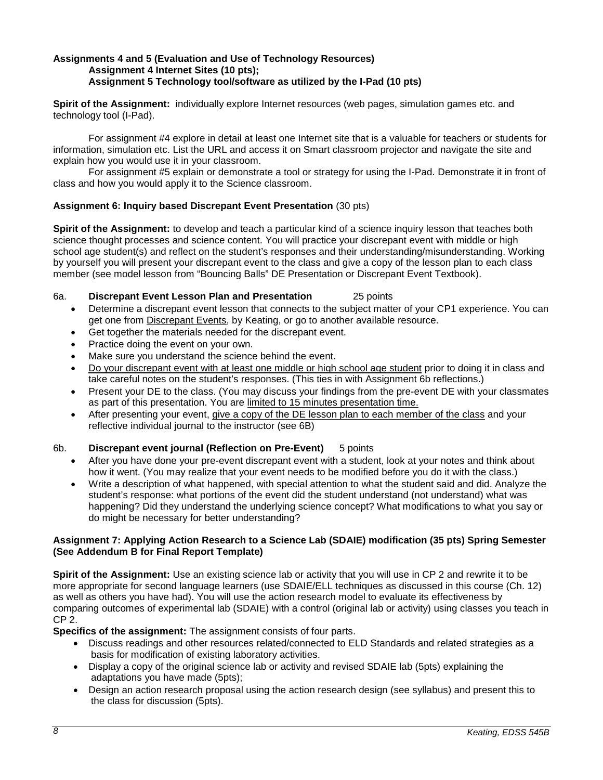#### **Assignments 4 and 5 (Evaluation and Use of Technology Resources) Assignment 4 Internet Sites (10 pts); Assignment 5 Technology tool/software as utilized by the I-Pad (10 pts)**

**Spirit of the Assignment:** individually explore Internet resources (web pages, simulation games etc. and technology tool (I-Pad).

For assignment #4 explore in detail at least one Internet site that is a valuable for teachers or students for information, simulation etc. List the URL and access it on Smart classroom projector and navigate the site and explain how you would use it in your classroom.

For assignment #5 explain or demonstrate a tool or strategy for using the I-Pad. Demonstrate it in front of class and how you would apply it to the Science classroom.

# **Assignment 6: Inquiry based Discrepant Event Presentation** (30 pts)

**Spirit of the Assignment:** to develop and teach a particular kind of a science inquiry lesson that teaches both science thought processes and science content. You will practice your discrepant event with middle or high school age student(s) and reflect on the student's responses and their understanding/misunderstanding. Working by yourself you will present your discrepant event to the class and give a copy of the lesson plan to each class member (see model lesson from "Bouncing Balls" DE Presentation or Discrepant Event Textbook).

### 6a. **Discrepant Event Lesson Plan and Presentation** 25 points

- Determine a discrepant event lesson that connects to the subject matter of your CP1 experience. You can get one from Discrepant Events, by Keating, or go to another available resource.
- Get together the materials needed for the discrepant event.
- Practice doing the event on your own.
- Make sure you understand the science behind the event.
- Do your discrepant event with at least one middle or high school age student prior to doing it in class and take careful notes on the student's responses. (This ties in with Assignment 6b reflections.)
- Present your DE to the class. (You may discuss your findings from the pre-event DE with your classmates as part of this presentation. You are limited to 15 minutes presentation time.
- After presenting your event, give a copy of the DE lesson plan to each member of the class and your reflective individual journal to the instructor (see 6B)

#### 6b. **Discrepant event journal (Reflection on Pre-Event)** 5 points

- After you have done your pre-event discrepant event with a student, look at your notes and think about how it went. (You may realize that your event needs to be modified before you do it with the class.)
- Write a description of what happened, with special attention to what the student said and did. Analyze the student's response: what portions of the event did the student understand (not understand) what was happening? Did they understand the underlying science concept? What modifications to what you say or do might be necessary for better understanding?

### **Assignment 7: Applying Action Research to a Science Lab (SDAIE) modification (35 pts) Spring Semester (See Addendum B for Final Report Template)**

**Spirit of the Assignment:** Use an existing science lab or activity that you will use in CP 2 and rewrite it to be more appropriate for second language learners (use SDAIE/ELL techniques as discussed in this course (Ch. 12) as well as others you have had). You will use the action research model to evaluate its effectiveness by comparing outcomes of experimental lab (SDAIE) with a control (original lab or activity) using classes you teach in CP 2.

**Specifics of the assignment:** The assignment consists of four parts.

- Discuss readings and other resources related/connected to ELD Standards and related strategies as a basis for modification of existing laboratory activities.
- Display a copy of the original science lab or activity and revised SDAIE lab (5pts) explaining the adaptations you have made (5pts);
- Design an action research proposal using the action research design (see syllabus) and present this to the class for discussion (5pts).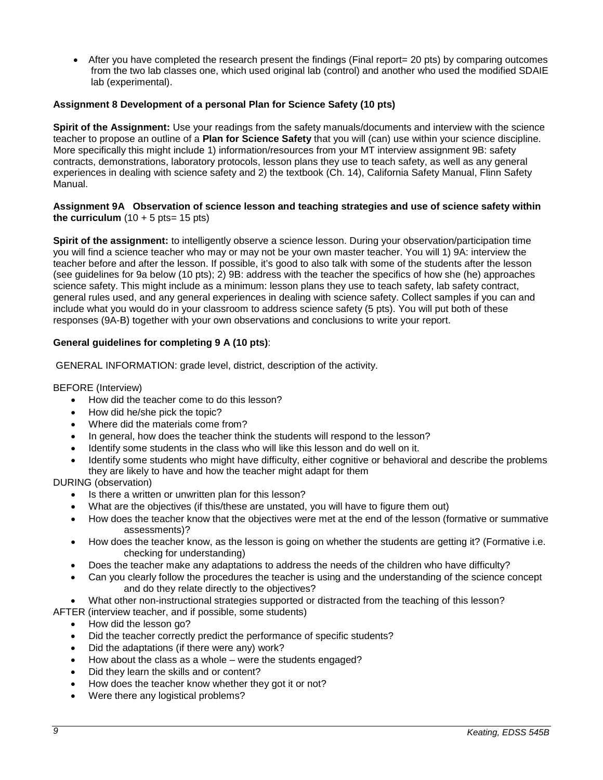• After you have completed the research present the findings (Final report = 20 pts) by comparing outcomes from the two lab classes one, which used original lab (control) and another who used the modified SDAIE lab (experimental).

# **Assignment 8 Development of a personal Plan for Science Safety (10 pts)**

**Spirit of the Assignment:** Use your readings from the safety manuals/documents and interview with the science teacher to propose an outline of a **Plan for Science Safety** that you will (can) use within your science discipline. More specifically this might include 1) information/resources from your MT interview assignment 9B: safety contracts, demonstrations, laboratory protocols, lesson plans they use to teach safety, as well as any general experiences in dealing with science safety and 2) the textbook (Ch. 14), California Safety Manual, Flinn Safety Manual.

#### **Assignment 9A Observation of science lesson and teaching strategies and use of science safety within the curriculum**  $(10 + 5 \text{ pts} = 15 \text{ pts})$

**Spirit of the assignment:** to intelligently observe a science lesson. During your observation/participation time you will find a science teacher who may or may not be your own master teacher. You will 1) 9A: interview the teacher before and after the lesson. If possible, it's good to also talk with some of the students after the lesson (see guidelines for 9a below (10 pts); 2) 9B: address with the teacher the specifics of how she (he) approaches science safety. This might include as a minimum: lesson plans they use to teach safety, lab safety contract, general rules used, and any general experiences in dealing with science safety. Collect samples if you can and include what you would do in your classroom to address science safety (5 pts). You will put both of these responses (9A-B) together with your own observations and conclusions to write your report.

### **General guidelines for completing 9 A (10 pts)**:

GENERAL INFORMATION: grade level, district, description of the activity.

#### BEFORE (Interview)

- How did the teacher come to do this lesson?
- How did he/she pick the topic?
- Where did the materials come from?
- In general, how does the teacher think the students will respond to the lesson?
- Identify some students in the class who will like this lesson and do well on it.
- Identify some students who might have difficulty, either cognitive or behavioral and describe the problems they are likely to have and how the teacher might adapt for them

DURING (observation)

- Is there a written or unwritten plan for this lesson?
- What are the objectives (if this/these are unstated, you will have to figure them out)
- How does the teacher know that the objectives were met at the end of the lesson (formative or summative assessments)?
- How does the teacher know, as the lesson is going on whether the students are getting it? (Formative i.e. checking for understanding)
- Does the teacher make any adaptations to address the needs of the children who have difficulty?
- Can you clearly follow the procedures the teacher is using and the understanding of the science concept and do they relate directly to the objectives?
- What other non-instructional strategies supported or distracted from the teaching of this lesson?
- AFTER (interview teacher, and if possible, some students)
	- How did the lesson go?
	- Did the teacher correctly predict the performance of specific students?
	- Did the adaptations (if there were any) work?
	- How about the class as a whole were the students engaged?
	- Did they learn the skills and or content?
	- How does the teacher know whether they got it or not?
	- Were there any logistical problems?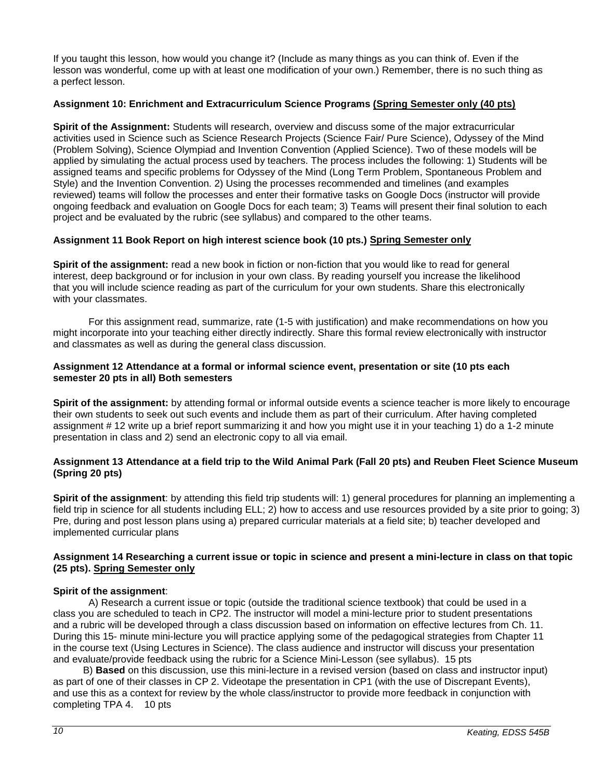If you taught this lesson, how would you change it? (Include as many things as you can think of. Even if the lesson was wonderful, come up with at least one modification of your own.) Remember, there is no such thing as a perfect lesson.

# **Assignment 10: Enrichment and Extracurriculum Science Programs (Spring Semester only (40 pts)**

**Spirit of the Assignment:** Students will research, overview and discuss some of the major extracurricular activities used in Science such as Science Research Projects (Science Fair/ Pure Science), Odyssey of the Mind (Problem Solving), Science Olympiad and Invention Convention (Applied Science). Two of these models will be applied by simulating the actual process used by teachers. The process includes the following: 1) Students will be assigned teams and specific problems for Odyssey of the Mind (Long Term Problem, Spontaneous Problem and Style) and the Invention Convention. 2) Using the processes recommended and timelines (and examples reviewed) teams will follow the processes and enter their formative tasks on Google Docs (instructor will provide ongoing feedback and evaluation on Google Docs for each team; 3) Teams will present their final solution to each project and be evaluated by the rubric (see syllabus) and compared to the other teams.

# **Assignment 11 Book Report on high interest science book (10 pts.) Spring Semester only**

**Spirit of the assignment:** read a new book in fiction or non-fiction that you would like to read for general interest, deep background or for inclusion in your own class. By reading yourself you increase the likelihood that you will include science reading as part of the curriculum for your own students. Share this electronically with your classmates.

For this assignment read, summarize, rate (1-5 with justification) and make recommendations on how you might incorporate into your teaching either directly indirectly. Share this formal review electronically with instructor and classmates as well as during the general class discussion.

#### **Assignment 12 Attendance at a formal or informal science event, presentation or site (10 pts each semester 20 pts in all) Both semesters**

**Spirit of the assignment:** by attending formal or informal outside events a science teacher is more likely to encourage their own students to seek out such events and include them as part of their curriculum. After having completed assignment # 12 write up a brief report summarizing it and how you might use it in your teaching 1) do a 1-2 minute presentation in class and 2) send an electronic copy to all via email.

### **Assignment 13 Attendance at a field trip to the Wild Animal Park (Fall 20 pts) and Reuben Fleet Science Museum (Spring 20 pts)**

**Spirit of the assignment**: by attending this field trip students will: 1) general procedures for planning an implementing a field trip in science for all students including ELL; 2) how to access and use resources provided by a site prior to going; 3) Pre, during and post lesson plans using a) prepared curricular materials at a field site; b) teacher developed and implemented curricular plans

### **Assignment 14 Researching a current issue or topic in science and present a mini-lecture in class on that topic (25 pts). Spring Semester only**

#### **Spirit of the assignment**:

A) Research a current issue or topic (outside the traditional science textbook) that could be used in a class you are scheduled to teach in CP2. The instructor will model a mini-lecture prior to student presentations and a rubric will be developed through a class discussion based on information on effective lectures from Ch. 11. During this 15- minute mini-lecture you will practice applying some of the pedagogical strategies from Chapter 11 in the course text (Using Lectures in Science). The class audience and instructor will discuss your presentation and evaluate/provide feedback using the rubric for a Science Mini-Lesson (see syllabus). 15 pts

 B) **Based** on this discussion, use this mini-lecture in a revised version (based on class and instructor input) as part of one of their classes in CP 2. Videotape the presentation in CP1 (with the use of Discrepant Events), and use this as a context for review by the whole class/instructor to provide more feedback in conjunction with completing TPA 4. 10 pts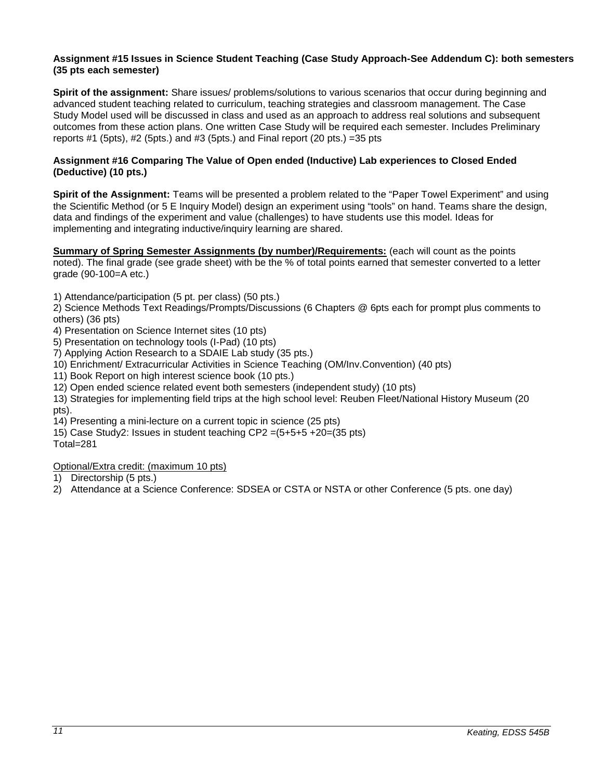#### **Assignment #15 Issues in Science Student Teaching (Case Study Approach-See Addendum C): both semesters (35 pts each semester)**

**Spirit of the assignment:** Share issues/ problems/solutions to various scenarios that occur during beginning and advanced student teaching related to curriculum, teaching strategies and classroom management. The Case Study Model used will be discussed in class and used as an approach to address real solutions and subsequent outcomes from these action plans. One written Case Study will be required each semester. Includes Preliminary reports  $#1$  (5pts),  $#2$  (5pts.) and  $#3$  (5pts.) and Final report (20 pts.) = 35 pts.

# **Assignment #16 Comparing The Value of Open ended (Inductive) Lab experiences to Closed Ended (Deductive) (10 pts.)**

**Spirit of the Assignment:** Teams will be presented a problem related to the "Paper Towel Experiment" and using the Scientific Method (or 5 E Inquiry Model) design an experiment using "tools" on hand. Teams share the design, data and findings of the experiment and value (challenges) to have students use this model. Ideas for implementing and integrating inductive/inquiry learning are shared.

**Summary of Spring Semester Assignments (by number)/Requirements:** (each will count as the points noted). The final grade (see grade sheet) with be the % of total points earned that semester converted to a letter grade (90-100=A etc.)

1) Attendance/participation (5 pt. per class) (50 pts.)

2) Science Methods Text Readings/Prompts/Discussions (6 Chapters @ 6pts each for prompt plus comments to others) (36 pts)

- 4) Presentation on Science Internet sites (10 pts)
- 5) Presentation on technology tools (I-Pad) (10 pts)
- 7) Applying Action Research to a SDAIE Lab study (35 pts.)
- 10) Enrichment/ Extracurricular Activities in Science Teaching (OM/Inv.Convention) (40 pts)
- 11) Book Report on high interest science book (10 pts.)
- 12) Open ended science related event both semesters (independent study) (10 pts)
- 13) Strategies for implementing field trips at the high school level: Reuben Fleet/National History Museum (20 pts).
- 14) Presenting a mini-lecture on a current topic in science (25 pts)
- 15) Case Study2: Issues in student teaching CP2 =(5+5+5 +20=(35 pts)

Total=281

Optional/Extra credit: (maximum 10 pts)

- 1) Directorship (5 pts.)
- 2) Attendance at a Science Conference: SDSEA or CSTA or NSTA or other Conference (5 pts. one day)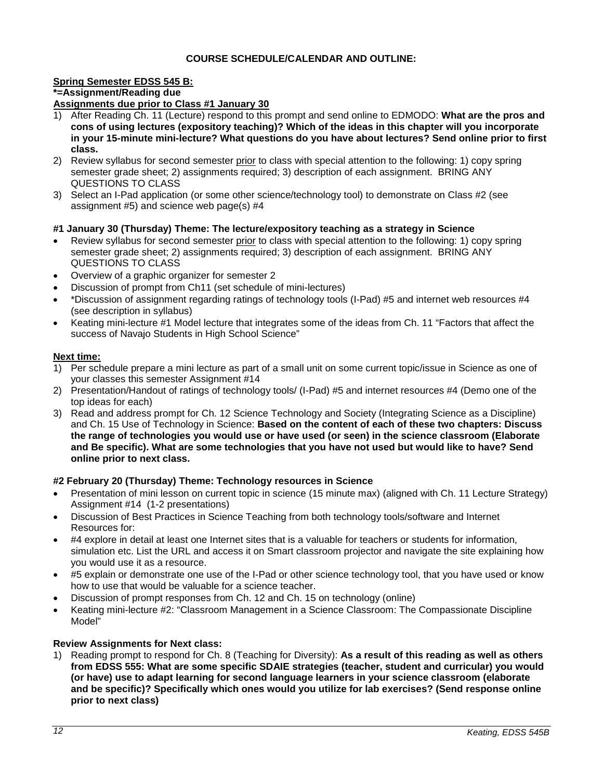# **COURSE SCHEDULE/CALENDAR AND OUTLINE:**

# <span id="page-11-0"></span>**Spring Semester EDSS 545 B: \*=Assignment/Reading due**

- **Assignments due prior to Class #1 January 30** 1) After Reading Ch. 11 (Lecture) respond to this prompt and send online to EDMODO: **What are the pros and cons of using lectures (expository teaching)? Which of the ideas in this chapter will you incorporate in your 15-minute mini-lecture? What questions do you have about lectures? Send online prior to first class.**
- 2) Review syllabus for second semester prior to class with special attention to the following: 1) copy spring semester grade sheet; 2) assignments required; 3) description of each assignment. BRING ANY QUESTIONS TO CLASS
- 3) Select an I-Pad application (or some other science/technology tool) to demonstrate on Class #2 (see assignment #5) and science web page(s) #4

### **#1 January 30 (Thursday) Theme: The lecture/expository teaching as a strategy in Science**

- Review syllabus for second semester prior to class with special attention to the following: 1) copy spring semester grade sheet; 2) assignments required; 3) description of each assignment. BRING ANY QUESTIONS TO CLASS
- Overview of a graphic organizer for semester 2
- Discussion of prompt from Ch11 (set schedule of mini-lectures)
- \*Discussion of assignment regarding ratings of technology tools (I-Pad) #5 and internet web resources #4 (see description in syllabus)
- Keating mini-lecture #1 Model lecture that integrates some of the ideas from Ch. 11 "Factors that affect the success of Navajo Students in High School Science"

#### **Next time:**

- 1) Per schedule prepare a mini lecture as part of a small unit on some current topic/issue in Science as one of your classes this semester Assignment #14
- 2) Presentation/Handout of ratings of technology tools/ (I-Pad) #5 and internet resources #4 (Demo one of the top ideas for each)
- 3) Read and address prompt for Ch. 12 Science Technology and Society (Integrating Science as a Discipline) and Ch. 15 Use of Technology in Science: **Based on the content of each of these two chapters: Discuss the range of technologies you would use or have used (or seen) in the science classroom (Elaborate and Be specific). What are some technologies that you have not used but would like to have? Send online prior to next class.**

#### **#2 February 20 (Thursday) Theme: Technology resources in Science**

- Presentation of mini lesson on current topic in science (15 minute max) (aligned with Ch. 11 Lecture Strategy) Assignment #14 (1-2 presentations)
- Discussion of Best Practices in Science Teaching from both technology tools/software and Internet Resources for:
- #4 explore in detail at least one Internet sites that is a valuable for teachers or students for information, simulation etc. List the URL and access it on Smart classroom projector and navigate the site explaining how you would use it as a resource.
- #5 explain or demonstrate one use of the I-Pad or other science technology tool, that you have used or know how to use that would be valuable for a science teacher.
- Discussion of prompt responses from Ch. 12 and Ch. 15 on technology (online)
- Keating mini-lecture #2: "Classroom Management in a Science Classroom: The Compassionate Discipline Model"

#### **Review Assignments for Next class:**

1) Reading prompt to respond for Ch. 8 (Teaching for Diversity): **As a result of this reading as well as others from EDSS 555: What are some specific SDAIE strategies (teacher, student and curricular) you would (or have) use to adapt learning for second language learners in your science classroom (elaborate and be specific)? Specifically which ones would you utilize for lab exercises? (Send response online prior to next class)**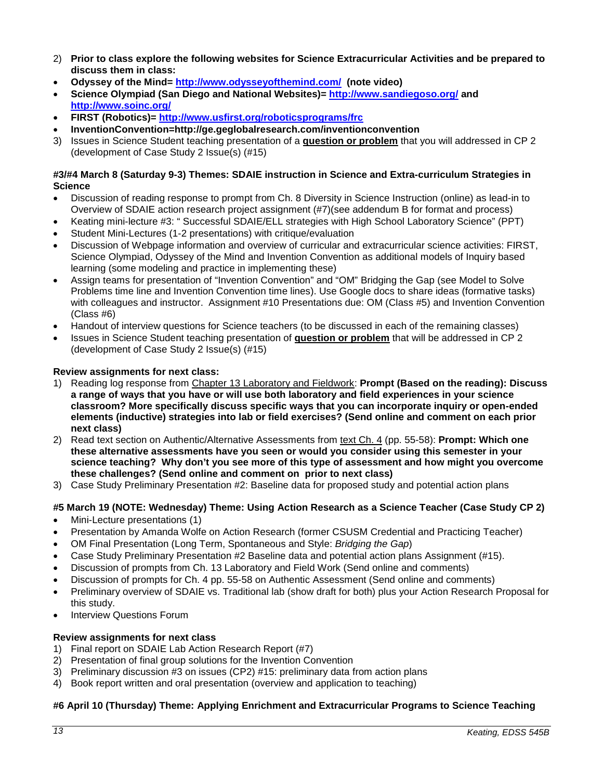- 2) **Prior to class explore the following websites for Science Extracurricular Activities and be prepared to discuss them in class:**
- **Odyssey of the Mind=<http://www.odysseyofthemind.com/>(note video)**
- **Science Olympiad (San Diego and National Websites)=<http://www.sandiegoso.org/> and <http://www.soinc.org/>**
- **FIRST (Robotics)=<http://www.usfirst.org/roboticsprograms/frc>**
- **InventionConvention=http://ge.geglobalresearch.com/inventionconvention**
- 3) Issues in Science Student teaching presentation of a **question or problem** that you will addressed in CP 2 (development of Case Study 2 Issue(s) (#15)

### **#3/#4 March 8 (Saturday 9-3) Themes: SDAIE instruction in Science and Extra-curriculum Strategies in Science**

- Discussion of reading response to prompt from Ch. 8 Diversity in Science Instruction (online) as lead-in to Overview of SDAIE action research project assignment (#7)(see addendum B for format and process)
- Keating mini-lecture #3: " Successful SDAIE/ELL strategies with High School Laboratory Science" (PPT)
- Student Mini-Lectures (1-2 presentations) with critique/evaluation
- Discussion of Webpage information and overview of curricular and extracurricular science activities: FIRST, Science Olympiad, Odyssey of the Mind and Invention Convention as additional models of Inquiry based learning (some modeling and practice in implementing these)
- Assign teams for presentation of "Invention Convention" and "OM" Bridging the Gap (see Model to Solve Problems time line and Invention Convention time lines). Use Google docs to share ideas (formative tasks) with colleagues and instructor. Assignment #10 Presentations due: OM (Class #5) and Invention Convention (Class #6)
- Handout of interview questions for Science teachers (to be discussed in each of the remaining classes)
- Issues in Science Student teaching presentation of **question or problem** that will be addressed in CP 2 (development of Case Study 2 Issue(s) (#15)

# **Review assignments for next class:**

- 1) Reading log response from Chapter 13 Laboratory and Fieldwork: **Prompt (Based on the reading): Discuss a range of ways that you have or will use both laboratory and field experiences in your science classroom? More specifically discuss specific ways that you can incorporate inquiry or open-ended elements (inductive) strategies into lab or field exercises? (Send online and comment on each prior next class)**
- 2) Read text section on Authentic/Alternative Assessments from text Ch. 4 (pp. 55-58): **Prompt: Which one these alternative assessments have you seen or would you consider using this semester in your science teaching? Why don't you see more of this type of assessment and how might you overcome these challenges? (Send online and comment on prior to next class)**
- 3) Case Study Preliminary Presentation #2: Baseline data for proposed study and potential action plans

# **#5 March 19 (NOTE: Wednesday) Theme: Using Action Research as a Science Teacher (Case Study CP 2)**

- Mini-Lecture presentations (1)
- Presentation by Amanda Wolfe on Action Research (former CSUSM Credential and Practicing Teacher)
- OM Final Presentation (Long Term, Spontaneous and Style: *Bridging the Gap*)
- Case Study Preliminary Presentation #2 Baseline data and potential action plans Assignment (#15).
- Discussion of prompts from Ch. 13 Laboratory and Field Work (Send online and comments)
- Discussion of prompts for Ch. 4 pp. 55-58 on Authentic Assessment (Send online and comments)
- Preliminary overview of SDAIE vs. Traditional lab (show draft for both) plus your Action Research Proposal for this study.
- **Interview Questions Forum**

# **Review assignments for next class**

- 1) Final report on SDAIE Lab Action Research Report (#7)
- 2) Presentation of final group solutions for the Invention Convention
- 3) Preliminary discussion #3 on issues (CP2) #15: preliminary data from action plans
- 4) Book report written and oral presentation (overview and application to teaching)

# **#6 April 10 (Thursday) Theme: Applying Enrichment and Extracurricular Programs to Science Teaching**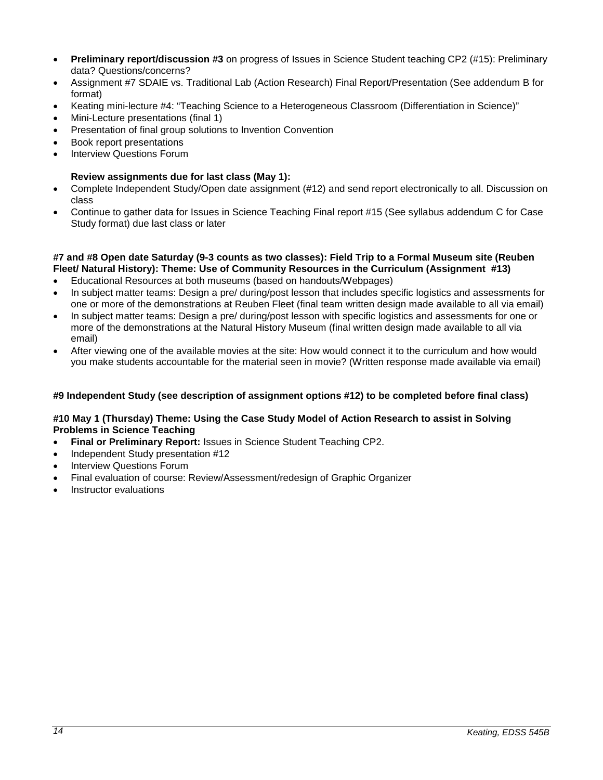- **Preliminary report/discussion #3** on progress of Issues in Science Student teaching CP2 (#15): Preliminary data? Questions/concerns?
- Assignment #7 SDAIE vs. Traditional Lab (Action Research) Final Report/Presentation (See addendum B for format)
- Keating mini-lecture #4: "Teaching Science to a Heterogeneous Classroom (Differentiation in Science)"
- Mini-Lecture presentations (final 1)
- Presentation of final group solutions to Invention Convention
- Book report presentations
- Interview Questions Forum

### **Review assignments due for last class (May 1):**

- Complete Independent Study/Open date assignment (#12) and send report electronically to all. Discussion on class
- Continue to gather data for Issues in Science Teaching Final report #15 (See syllabus addendum C for Case Study format) due last class or later

#### **#7 and #8 Open date Saturday (9-3 counts as two classes): Field Trip to a Formal Museum site (Reuben Fleet/ Natural History): Theme: Use of Community Resources in the Curriculum (Assignment #13)**

- Educational Resources at both museums (based on handouts/Webpages)
- In subject matter teams: Design a pre/ during/post lesson that includes specific logistics and assessments for one or more of the demonstrations at Reuben Fleet (final team written design made available to all via email)
- In subject matter teams: Design a pre/ during/post lesson with specific logistics and assessments for one or more of the demonstrations at the Natural History Museum (final written design made available to all via email)
- After viewing one of the available movies at the site: How would connect it to the curriculum and how would you make students accountable for the material seen in movie? (Written response made available via email)

# **#9 Independent Study (see description of assignment options #12) to be completed before final class)**

### **#10 May 1 (Thursday) Theme: Using the Case Study Model of Action Research to assist in Solving Problems in Science Teaching**

- **Final or Preliminary Report:** Issues in Science Student Teaching CP2.
- Independent Study presentation #12
- **Interview Questions Forum**
- Final evaluation of course: Review/Assessment/redesign of Graphic Organizer
- Instructor evaluations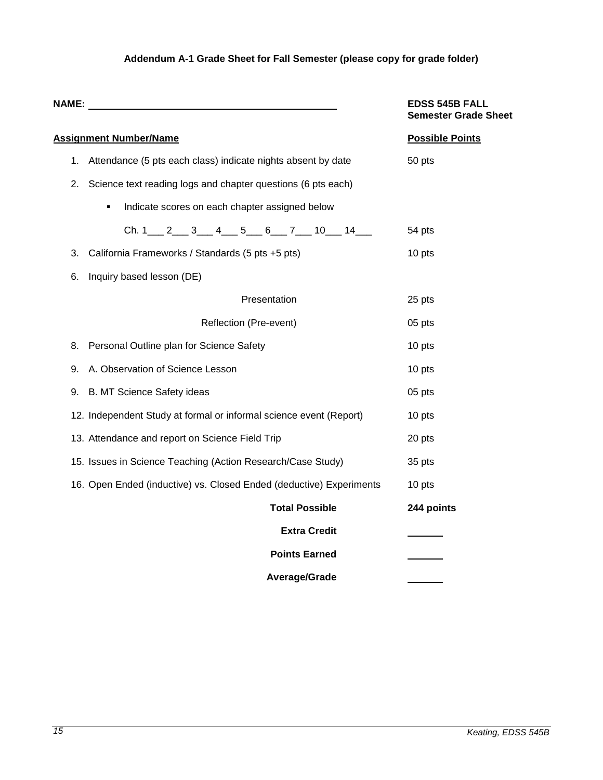# **Addendum A-1 Grade Sheet for Fall Semester (please copy for grade folder)**

<span id="page-14-0"></span>

|    | NAME: WE ARRAIGNMENT WAS ARRESTED FOR A STRUCK.                     | <b>EDSS 545B FALL</b><br><b>Semester Grade Sheet</b> |
|----|---------------------------------------------------------------------|------------------------------------------------------|
|    | <b>Assignment Number/Name</b>                                       | <b>Possible Points</b>                               |
| 1. | Attendance (5 pts each class) indicate nights absent by date        | 50 pts                                               |
| 2. | Science text reading logs and chapter questions (6 pts each)        |                                                      |
|    | Indicate scores on each chapter assigned below<br>٠                 |                                                      |
|    | Ch. $1 \t2 \t3 \t4 \t5 \t6 \t7 \t10 \t14 \t1$                       | 54 pts                                               |
| 3. | California Frameworks / Standards (5 pts +5 pts)                    | 10 pts                                               |
| 6. | Inquiry based lesson (DE)                                           |                                                      |
|    | Presentation                                                        | 25 pts                                               |
|    | Reflection (Pre-event)                                              | 05 pts                                               |
| 8. | Personal Outline plan for Science Safety                            | 10 pts                                               |
| 9. | A. Observation of Science Lesson                                    | 10 pts                                               |
| 9. | <b>B. MT Science Safety ideas</b>                                   | 05 pts                                               |
|    | 12. Independent Study at formal or informal science event (Report)  | 10 pts                                               |
|    | 13. Attendance and report on Science Field Trip                     | 20 pts                                               |
|    | 15. Issues in Science Teaching (Action Research/Case Study)         | 35 pts                                               |
|    | 16. Open Ended (inductive) vs. Closed Ended (deductive) Experiments | 10 pts                                               |
|    | <b>Total Possible</b>                                               | 244 points                                           |
|    | <b>Extra Credit</b>                                                 |                                                      |
|    | <b>Points Earned</b>                                                |                                                      |
|    | Average/Grade                                                       |                                                      |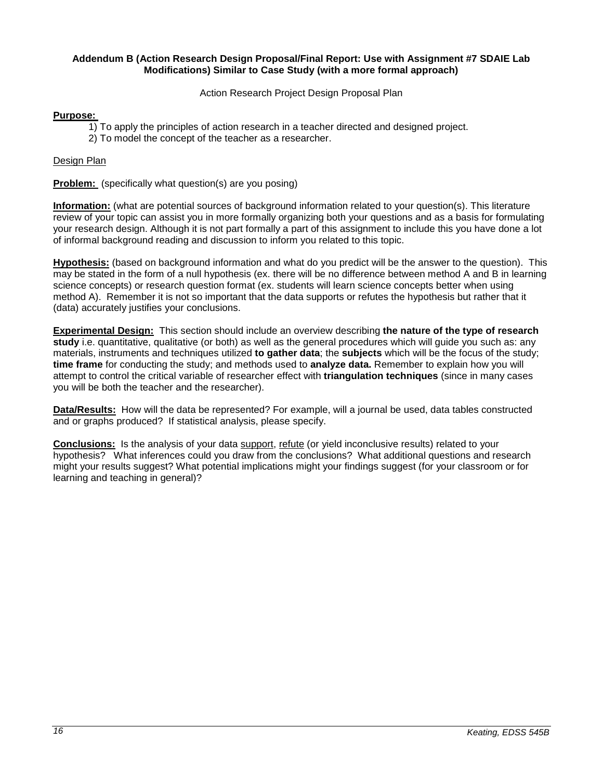#### <span id="page-15-0"></span>**Addendum B (Action Research Design Proposal/Final Report: Use with Assignment #7 SDAIE Lab Modifications) Similar to Case Study (with a more formal approach)**

Action Research Project Design Proposal Plan

# **Purpose:**

- 1) To apply the principles of action research in a teacher directed and designed project.
- 2) To model the concept of the teacher as a researcher.

### Design Plan

**Problem:** (specifically what question(s) are you posing)

**Information:** (what are potential sources of background information related to your question(s). This literature review of your topic can assist you in more formally organizing both your questions and as a basis for formulating your research design. Although it is not part formally a part of this assignment to include this you have done a lot of informal background reading and discussion to inform you related to this topic.

**Hypothesis:** (based on background information and what do you predict will be the answer to the question). This may be stated in the form of a null hypothesis (ex. there will be no difference between method A and B in learning science concepts) or research question format (ex. students will learn science concepts better when using method A). Remember it is not so important that the data supports or refutes the hypothesis but rather that it (data) accurately justifies your conclusions.

**Experimental Design:** This section should include an overview describing **the nature of the type of research study** i.e. quantitative, qualitative (or both) as well as the general procedures which will guide you such as: any materials, instruments and techniques utilized **to gather data**; the **subjects** which will be the focus of the study; **time frame** for conducting the study; and methods used to **analyze data.** Remember to explain how you will attempt to control the critical variable of researcher effect with **triangulation techniques** (since in many cases you will be both the teacher and the researcher).

**Data/Results:** How will the data be represented? For example, will a journal be used, data tables constructed and or graphs produced? If statistical analysis, please specify.

**Conclusions:** Is the analysis of your data support, refute (or yield inconclusive results) related to your hypothesis? What inferences could you draw from the conclusions? What additional questions and research might your results suggest? What potential implications might your findings suggest (for your classroom or for learning and teaching in general)?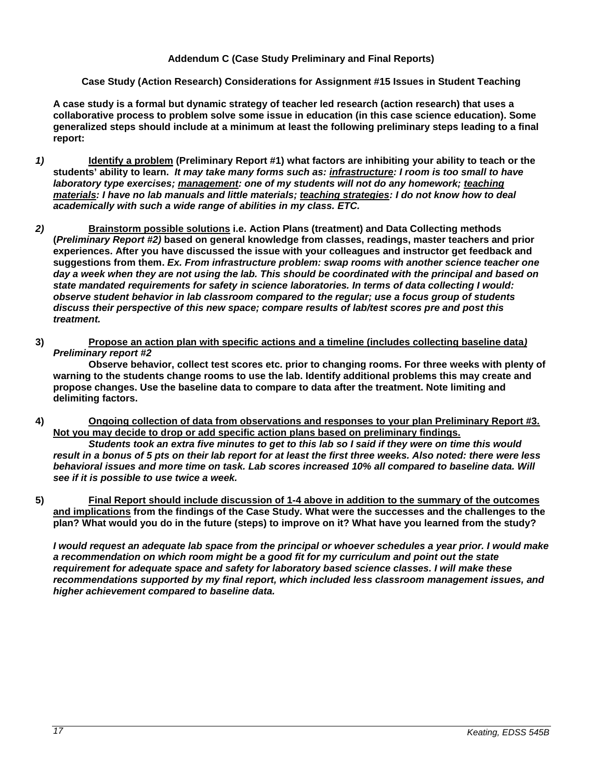# **Addendum C (Case Study Preliminary and Final Reports)**

# <span id="page-16-0"></span>**Case Study (Action Research) Considerations for Assignment #15 Issues in Student Teaching**

**A case study is a formal but dynamic strategy of teacher led research (action research) that uses a collaborative process to problem solve some issue in education (in this case science education). Some generalized steps should include at a minimum at least the following preliminary steps leading to a final report:** 

- *1)* **Identify a problem (Preliminary Report #1) what factors are inhibiting your ability to teach or the students' ability to learn.** *It may take many forms such as: infrastructure: I room is too small to have laboratory type exercises; management: one of my students will not do any homework; teaching materials: I have no lab manuals and little materials; teaching strategies: I do not know how to deal academically with such a wide range of abilities in my class. ETC.*
- *2)* **Brainstorm possible solutions i.e. Action Plans (treatment) and Data Collecting methods (***Preliminary Report #2)* **based on general knowledge from classes, readings, master teachers and prior experiences. After you have discussed the issue with your colleagues and instructor get feedback and suggestions from them.** *Ex. From infrastructure problem: swap rooms with another science teacher one day a week when they are not using the lab. This should be coordinated with the principal and based on state mandated requirements for safety in science laboratories. In terms of data collecting I would: observe student behavior in lab classroom compared to the regular; use a focus group of students discuss their perspective of this new space; compare results of lab/test scores pre and post this treatment.*
- **3) Propose an action plan with specific actions and a timeline (includes collecting baseline data***) Preliminary report #2*

**Observe behavior, collect test scores etc. prior to changing rooms. For three weeks with plenty of warning to the students change rooms to use the lab. Identify additional problems this may create and propose changes. Use the baseline data to compare to data after the treatment. Note limiting and delimiting factors.**

**4) Ongoing collection of data from observations and responses to your plan Preliminary Report #3. Not you may decide to drop or add specific action plans based on preliminary findings.**

*Students took an extra five minutes to get to this lab so I said if they were on time this would result in a bonus of 5 pts on their lab report for at least the first three weeks. Also noted: there were less behavioral issues and more time on task. Lab scores increased 10% all compared to baseline data. Will see if it is possible to use twice a week.*

**5) Final Report should include discussion of 1-4 above in addition to the summary of the outcomes and implications from the findings of the Case Study. What were the successes and the challenges to the plan? What would you do in the future (steps) to improve on it? What have you learned from the study?**

*I would request an adequate lab space from the principal or whoever schedules a year prior. I would make a recommendation on which room might be a good fit for my curriculum and point out the state requirement for adequate space and safety for laboratory based science classes. I will make these recommendations supported by my final report, which included less classroom management issues, and higher achievement compared to baseline data.*